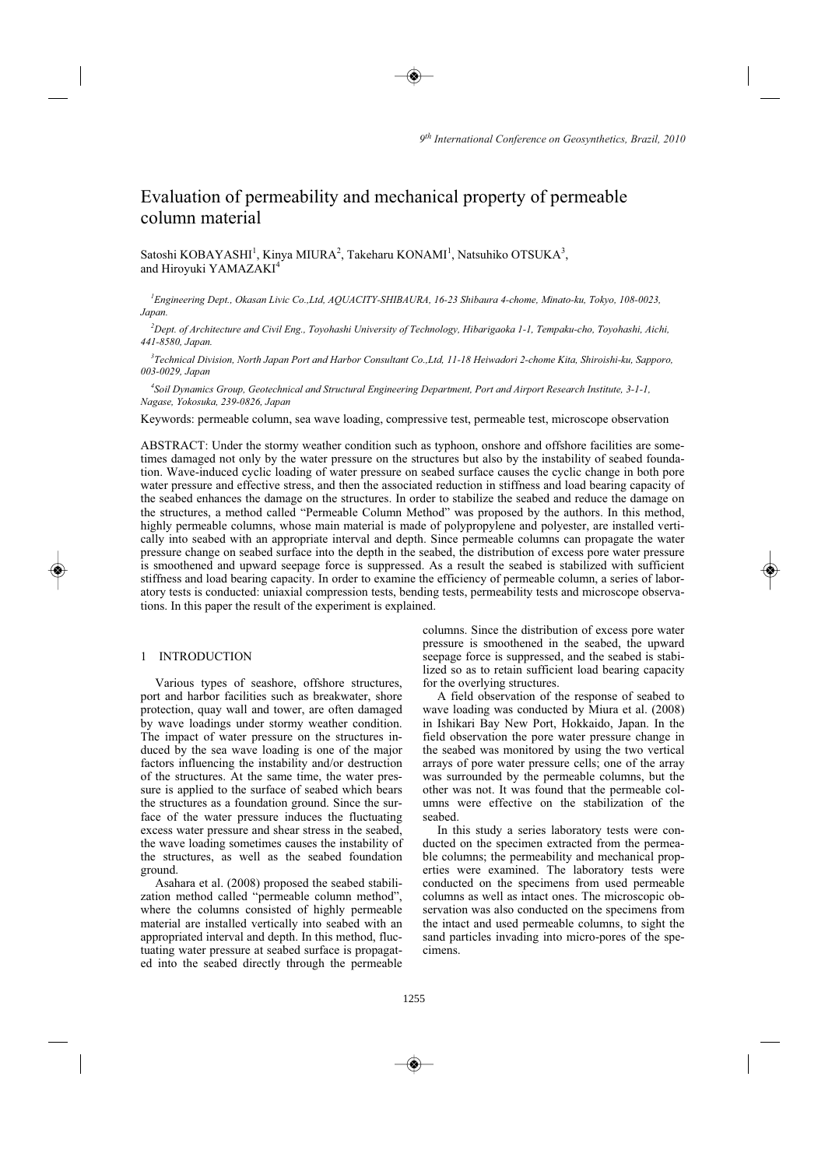# Evaluation of permeability and mechanical property of permeable column material

Satoshi KOBAYASHI $^{\rm l}$ , Kinya MIURA $^{\rm 2}$ , Takeharu KONAMI $^{\rm l}$ , Natsuhiko OTSUKA $^{\rm 3}$ , and Hiroyuki YAMAZAKI 4

*1 Engineering Dept., Okasan Livic Co.,Ltd, AQUACITY-SHIBAURA, 16-23 Shibaura 4-chome, Minato-ku, Tokyo, 108-0023, Japan.* 

*2 Dept. of Architecture and Civil Eng., Toyohashi University of Technology, Hibarigaoka 1-1, Tempaku-cho, Toyohashi, Aichi, 441-8580, Japan.* 

*3 Technical Division, North Japan Port and Harbor Consultant Co.,Ltd, 11-18 Heiwadori 2-chome Kita, Shiroishi-ku, Sapporo, 003-0029, Japan* 

*4 Soil Dynamics Group, Geotechnical and Structural Engineering Department, Port and Airport Research Institute, 3-1-1, Nagase, Yokosuka, 239-0826, Japan* 

Keywords: permeable column, sea wave loading, compressive test, permeable test, microscope observation

ABSTRACT: Under the stormy weather condition such as typhoon, onshore and offshore facilities are sometimes damaged not only by the water pressure on the structures but also by the instability of seabed foundation. Wave-induced cyclic loading of water pressure on seabed surface causes the cyclic change in both pore water pressure and effective stress, and then the associated reduction in stiffness and load bearing capacity of the seabed enhances the damage on the structures. In order to stabilize the seabed and reduce the damage on the structures, a method called "Permeable Column Method" was proposed by the authors. In this method, highly permeable columns, whose main material is made of polypropylene and polyester, are installed vertically into seabed with an appropriate interval and depth. Since permeable columns can propagate the water pressure change on seabed surface into the depth in the seabed, the distribution of excess pore water pressure is smoothened and upward seepage force is suppressed. As a result the seabed is stabilized with sufficient stiffness and load bearing capacity. In order to examine the efficiency of permeable column, a series of laboratory tests is conducted: uniaxial compression tests, bending tests, permeability tests and microscope observations. In this paper the result of the experiment is explained.

### 1 INTRODUCTION

Various types of seashore, offshore structures, port and harbor facilities such as breakwater, shore protection, quay wall and tower, are often damaged by wave loadings under stormy weather condition. The impact of water pressure on the structures induced by the sea wave loading is one of the major factors influencing the instability and/or destruction of the structures. At the same time, the water pressure is applied to the surface of seabed which bears the structures as a foundation ground. Since the surface of the water pressure induces the fluctuating excess water pressure and shear stress in the seabed, the wave loading sometimes causes the instability of the structures, as well as the seabed foundation ground.

Asahara et al. (2008) proposed the seabed stabilization method called "permeable column method", where the columns consisted of highly permeable material are installed vertically into seabed with an appropriated interval and depth. In this method, fluctuating water pressure at seabed surface is propagated into the seabed directly through the permeable columns. Since the distribution of excess pore water pressure is smoothened in the seabed, the upward seepage force is suppressed, and the seabed is stabilized so as to retain sufficient load bearing capacity for the overlying structures.

A field observation of the response of seabed to wave loading was conducted by Miura et al. (2008) in Ishikari Bay New Port, Hokkaido, Japan. In the field observation the pore water pressure change in the seabed was monitored by using the two vertical arrays of pore water pressure cells; one of the array was surrounded by the permeable columns, but the other was not. It was found that the permeable columns were effective on the stabilization of the seabed.

In this study a series laboratory tests were conducted on the specimen extracted from the permeable columns; the permeability and mechanical properties were examined. The laboratory tests were conducted on the specimens from used permeable columns as well as intact ones. The microscopic observation was also conducted on the specimens from the intact and used permeable columns, to sight the sand particles invading into micro-pores of the specimens.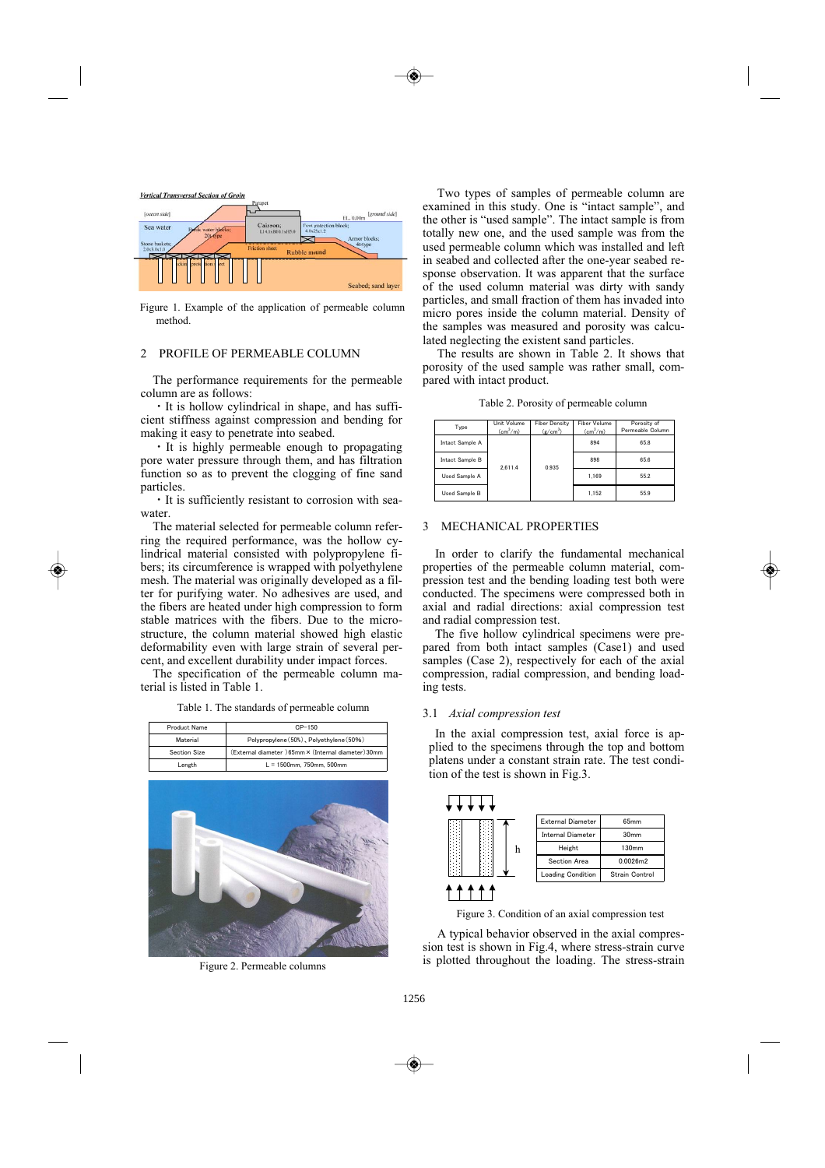

Figure 1. Example of the application of permeable column method.

# 2 PROFILE OF PERMEABLE COLUMN

The performance requirements for the permeable column are as follows:

It is hollow cylindrical in shape, and has sufficient stiffness against compression and bending for making it easy to penetrate into seabed.

It is highly permeable enough to propagating pore water pressure through them, and has filtration function so as to prevent the clogging of fine sand particles.

 $\cdot$  It is sufficiently resistant to corrosion with seawater.

The material selected for permeable column referring the required performance, was the hollow cylindrical material consisted with polypropylene fibers; its circumference is wrapped with polyethylene mesh. The material was originally developed as a filter for purifying water. No adhesives are used, and the fibers are heated under high compression to form stable matrices with the fibers. Due to the microstructure, the column material showed high elastic deformability even with large strain of several percent, and excellent durability under impact forces.

The specification of the permeable column material is listed in Table 1.

Table 1. The standards of permeable column

| Product Name | $CP-150$                                            |
|--------------|-----------------------------------------------------|
| Material     | Polypropylene (50%), Polyethylene (50%)             |
| Section Size | (External diameter) 65mm × (Internal diameter) 30mm |
| Length       | $L = 1500$ mm. 750mm. 500mm                         |



Figure 2. Permeable columns

Two types of samples of permeable column are examined in this study. One is "intact sample", and the other is "used sample". The intact sample is from totally new one, and the used sample was from the used permeable column which was installed and left in seabed and collected after the one-year seabed response observation. It was apparent that the surface of the used column material was dirty with sandy particles, and small fraction of them has invaded into micro pores inside the column material. Density of the samples was measured and porosity was calculated neglecting the existent sand particles.

The results are shown in Table 2. It shows that porosity of the used sample was rather small, compared with intact product.

Table 2. Porosity of permeable column

| Type            | Unit Volume<br>$\text{(cm}^3/\text{m})$ | <b>Fiber Density</b><br>$(g/cm^3)$ | Fiber Volume<br>$\text{(cm}^3/\text{m})$ | Porosity of<br>Permeable Column |
|-----------------|-----------------------------------------|------------------------------------|------------------------------------------|---------------------------------|
| Intact Sample A | 2.611.4                                 | 0.935                              | 894                                      | 65.8                            |
| Intact Sample B |                                         |                                    | 898                                      | 65.6                            |
| Used Sample A   |                                         |                                    | 1.169                                    | 55.2                            |
| Used Sample B   |                                         |                                    | 1.152                                    | 55.9                            |

# 3 MECHANICAL PROPERTIES

In order to clarify the fundamental mechanical properties of the permeable column material, compression test and the bending loading test both were conducted. The specimens were compressed both in axial and radial directions: axial compression test and radial compression test.

The five hollow cylindrical specimens were prepared from both intact samples (Case1) and used samples (Case 2), respectively for each of the axial compression, radial compression, and bending loading tests.

#### 3.1 *Axial compression test*

In the axial compression test, axial force is applied to the specimens through the top and bottom platens under a constant strain rate. The test condition of the test is shown in Fig.3.



Figure 3. Condition of an axial compression test

A typical behavior observed in the axial compression test is shown in Fig.4, where stress-strain curve is plotted throughout the loading. The stress-strain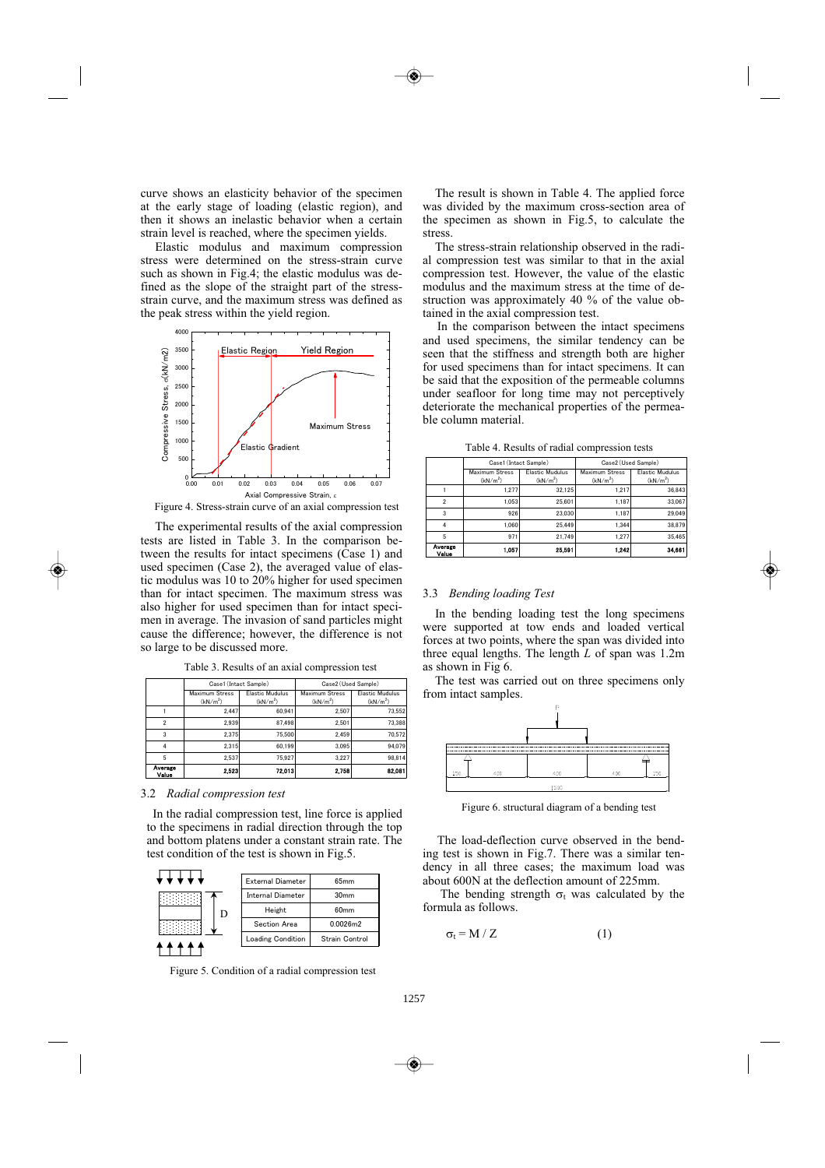curve shows an elasticity behavior of the specimen at the early stage of loading (elastic region), and then it shows an inelastic behavior when a certain strain level is reached, where the specimen yields.

Elastic modulus and maximum compression stress were determined on the stress-strain curve such as shown in Fig.4; the elastic modulus was defined as the slope of the straight part of the stressstrain curve, and the maximum stress was defined as the peak stress within the yield region.



Figure 4. Stress-strain curve of an axial compression test

The experimental results of the axial compression tests are listed in Table 3. In the comparison between the results for intact specimens (Case 1) and used specimen (Case 2), the averaged value of elastic modulus was 10 to 20% higher for used specimen than for intact specimen. The maximum stress was also higher for used specimen than for intact specimen in average. The invasion of sand particles might cause the difference; however, the difference is not so large to be discussed more.

|  |  |  |  |  |  |  |  | Table 3. Results of an axial compression test |  |
|--|--|--|--|--|--|--|--|-----------------------------------------------|--|
|--|--|--|--|--|--|--|--|-----------------------------------------------|--|

|                  | Case1 (Intact Sample)                  |                                                | Case2 (Used Sample)                    |                                                |  |
|------------------|----------------------------------------|------------------------------------------------|----------------------------------------|------------------------------------------------|--|
|                  | Maximum Stress<br>(kN/m <sup>2</sup> ) | <b>Elastic Mudulus</b><br>(kN/m <sup>2</sup> ) | Maximum Stress<br>(kN/m <sup>2</sup> ) | <b>Elastic Mudulus</b><br>(kN/m <sup>2</sup> ) |  |
|                  | 2.447                                  | 60.941                                         | 2.507                                  | 73.552                                         |  |
| っ                | 2.939                                  | 87.498                                         | 2.501                                  | 73.388                                         |  |
| 3                | 2.375                                  | 75.500                                         | 2.459                                  | 70.572                                         |  |
|                  | 2.315                                  | 60.199                                         | 3.095                                  | 94.079                                         |  |
| 5                | 2.537                                  | 75.927                                         | 3.227                                  | 98.814                                         |  |
| Average<br>Value | 2.523                                  | 72.013                                         | 2.758                                  | 82.081                                         |  |

#### 3.2 *Radial compression test*

In the radial compression test, line force is applied to the specimens in radial direction through the top and bottom platens under a constant strain rate. The test condition of the test is shown in Fig.5.



Figure 5. Condition of a radial compression test

The result is shown in Table 4. The applied force was divided by the maximum cross-section area of the specimen as shown in Fig.5, to calculate the stress.

The stress-strain relationship observed in the radial compression test was similar to that in the axial compression test. However, the value of the elastic modulus and the maximum stress at the time of destruction was approximately 40 % of the value obtained in the axial compression test.

In the comparison between the intact specimens and used specimens, the similar tendency can be seen that the stiffness and strength both are higher for used specimens than for intact specimens. It can be said that the exposition of the permeable columns under seafloor for long time may not perceptively deteriorate the mechanical properties of the permeable column material.

|                          | Case1 (Intact Sample) |                        | Case2 (Used Sample)   |                        |  |
|--------------------------|-----------------------|------------------------|-----------------------|------------------------|--|
|                          | <b>Maximum Stress</b> | <b>Elastic Mudulus</b> | <b>Maximum Stress</b> | <b>Elastic Mudulus</b> |  |
|                          | (kN/m <sup>2</sup> )  | (kN/m <sup>2</sup> )   | (kN/m <sup>2</sup> )  | (kN/m <sup>2</sup> )   |  |
|                          | 1.277                 | 32.125                 | 1.217                 | 36,843                 |  |
| $\overline{\phantom{a}}$ | 1.053                 | 25.601                 | 1.187                 | 33.067                 |  |
| 3                        | 926                   | 23.030                 | 1.187                 | 29.049                 |  |
| 4                        | 1.060                 | 25.449                 | 1.344                 | 38.879                 |  |
| 5                        | 971                   | 21.749                 | 1.277                 | 35.465                 |  |
| Average<br>Value         | 1.057                 | 25.591                 | 1,242                 | 34,661                 |  |

Table 4. Results of radial compression tests

#### 3.3 *Bending loading Test*

In the bending loading test the long specimens were supported at tow ends and loaded vertical forces at two points, where the span was divided into three equal lengths. The length *L* of span was 1.2m as shown in Fig 6.

The test was carried out on three specimens only from intact samples.



Figure 6. structural diagram of a bending test

The load-deflection curve observed in the bending test is shown in Fig.7. There was a similar tendency in all three cases; the maximum load was about 600N at the deflection amount of 225mm.

The bending strength  $\sigma_t$  was calculated by the formula as follows.

$$
\sigma_t = M / Z \tag{1}
$$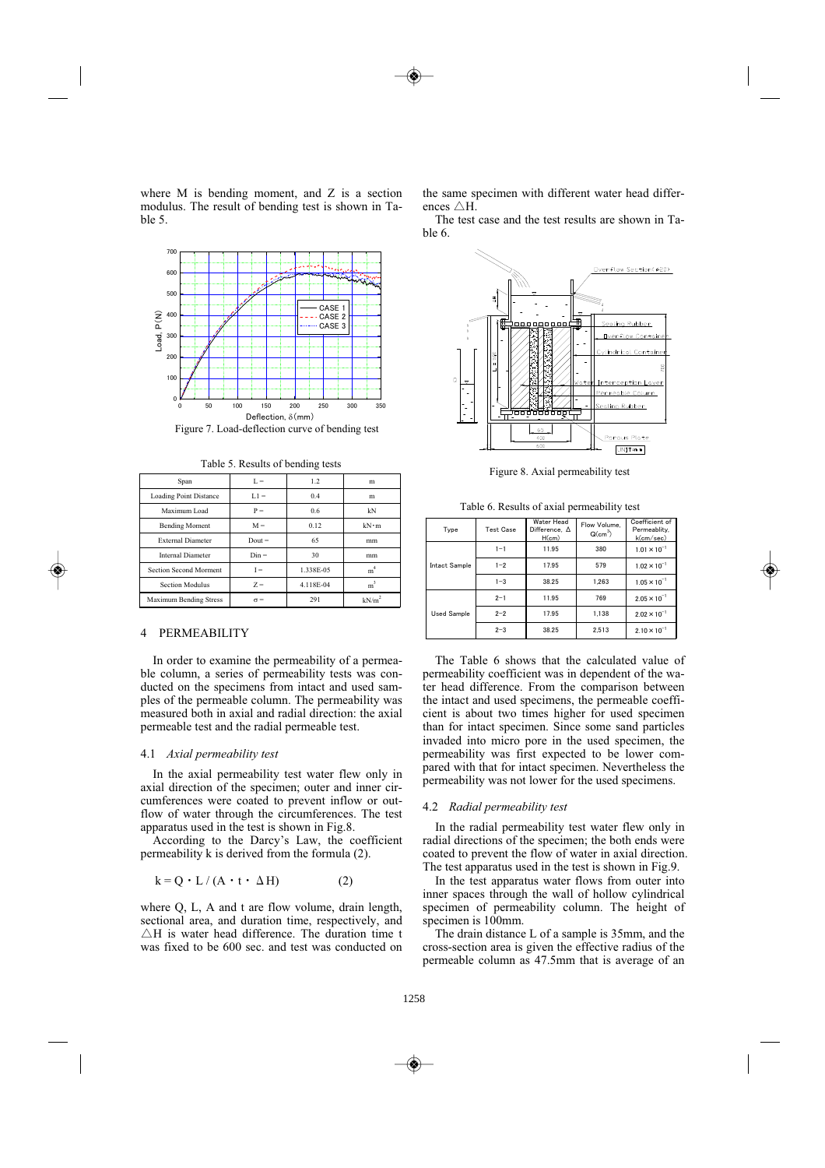where M is bending moment, and Z is a section modulus. The result of bending test is shown in Table 5.



Figure 7. Load-deflection curve of bending test

| Span                          | $L =$      | 1.2.      | m                 |
|-------------------------------|------------|-----------|-------------------|
| <b>Loading Point Distance</b> | $L1 =$     | 0.4       | m                 |
| Maximum Load                  | $P =$      | 0.6       | kN                |
| <b>Bending Moment</b>         | $M =$      | 0.12      | $kN \cdot m$      |
| <b>External Diameter</b>      | $Dout =$   | 65        | mm                |
| <b>Internal Diameter</b>      | $Din =$    | 30        | mm                |
| Section Second Morment        | $I =$      | 1.338E-05 | m <sup>4</sup>    |
| <b>Section Modulus</b>        | $Z =$      | 4.118E-04 | $m^3$             |
| <b>Maximum Bending Stress</b> | $\sigma =$ | 291       | kN/m <sup>2</sup> |

#### 4 PERMEABILITY

In order to examine the permeability of a permeable column, a series of permeability tests was conducted on the specimens from intact and used samples of the permeable column. The permeability was measured both in axial and radial direction: the axial permeable test and the radial permeable test.

#### 4.1 *Axial permeability test*

In the axial permeability test water flew only in axial direction of the specimen; outer and inner circumferences were coated to prevent inflow or outflow of water through the circumferences. The test apparatus used in the test is shown in Fig.8.

According to the Darcy's Law, the coefficient permeability k is derived from the formula (2).

$$
k = Q \cdot L / (A \cdot t \cdot \Delta H)
$$
 (2)

where Q, L, A and t are flow volume, drain length, sectional area, and duration time, respectively, and  $\triangle$ H is water head difference. The duration time t was fixed to be 600 sec. and test was conducted on

the same specimen with different water head differences  $\triangle H$ .

The test case and the test results are shown in Table 6.



Table 6. Results of axial permeability test

| Type               | <b>Test Case</b> | Water Head<br>Difference, A<br>H(cm) | Flow Volume.<br>$Q(cm^3)$ | Coefficient of<br>Permeablity.<br>k(cm/sec) |
|--------------------|------------------|--------------------------------------|---------------------------|---------------------------------------------|
|                    | $1 - 1$          | 11.95                                | 380                       | $1.01 \times 10^{-1}$                       |
| Intact Sample      | $1 - 2$          | 17.95                                | 579                       | $1.02 \times 10^{-1}$                       |
|                    | $1 - 3$          | 38.25                                | 1.263                     | $1.05 \times 10^{-1}$                       |
| <b>Used Sample</b> | $2 - 1$          | 11.95                                | 769                       | $2.05 \times 10^{-1}$                       |
|                    | $2 - 2$          | 17.95                                | 1.138                     | $2.02 \times 10^{-1}$                       |
|                    | $2 - 3$          | 38.25                                | 2.513                     | $2.10 \times 10^{-1}$                       |

The Table 6 shows that the calculated value of permeability coefficient was in dependent of the water head difference. From the comparison between the intact and used specimens, the permeable coefficient is about two times higher for used specimen than for intact specimen. Since some sand particles invaded into micro pore in the used specimen, the permeability was first expected to be lower compared with that for intact specimen. Nevertheless the permeability was not lower for the used specimens.

#### 4.2 *Radial permeability test*

In the radial permeability test water flew only in radial directions of the specimen; the both ends were coated to prevent the flow of water in axial direction. The test apparatus used in the test is shown in Fig.9.

In the test apparatus water flows from outer into inner spaces through the wall of hollow cylindrical specimen of permeability column. The height of specimen is  $100$ mm.

The drain distance L of a sample is 35mm, and the cross-section area is given the effective radius of the permeable column as 47.5mm that is average of an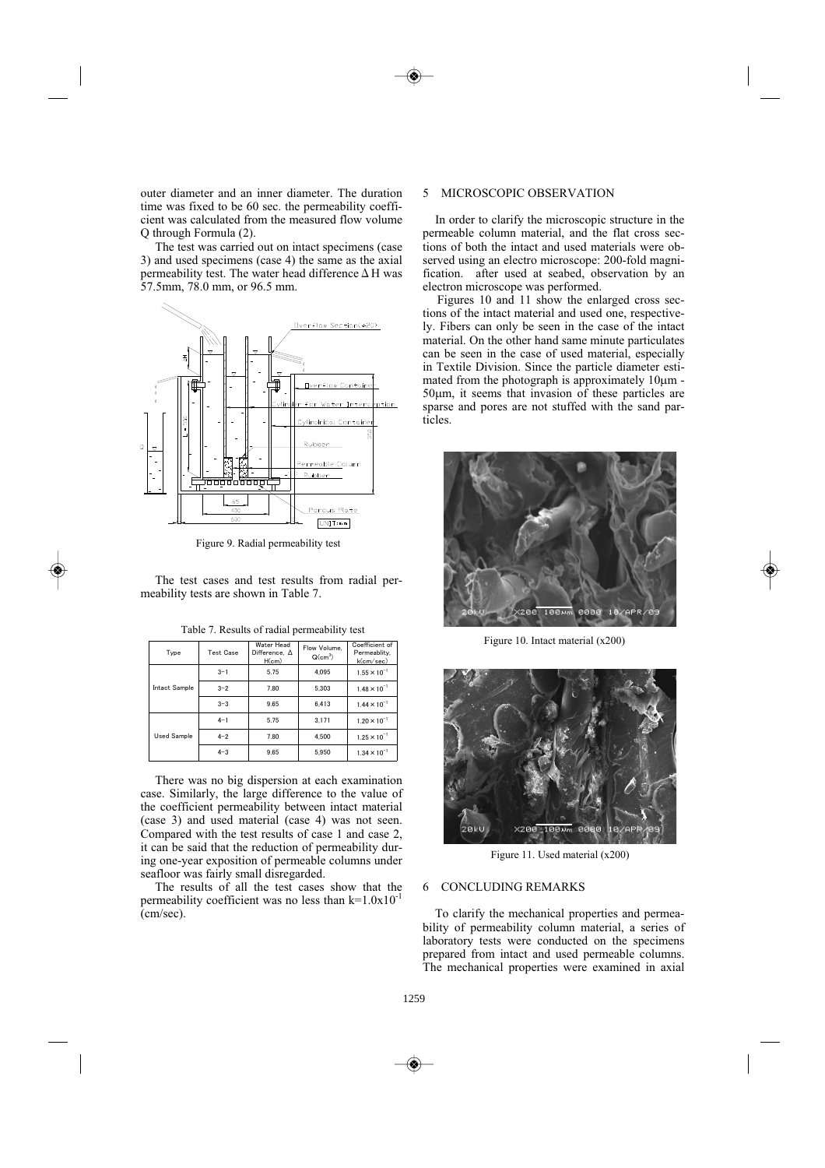outer diameter and an inner diameter. The duration time was fixed to be 60 sec. the permeability coefficient was calculated from the measured flow volume Q through Formula (2).

The test was carried out on intact specimens (case 3) and used specimens (case 4) the same as the axial permeability test. The water head difference  $\Delta$  H was 57.5mm, 78.0 mm, or 96.5 mm.



Figure 9. Radial permeability test

The test cases and test results from radial permeability tests are shown in Table 7.

| Type          | <b>Test Case</b> | Water Head<br>Difference. $\Delta$<br>H(cm) | Flow Volume.<br>$Q(cm^3)$ | Coefficient of<br>Permeablity.<br>k(cm/sec) |
|---------------|------------------|---------------------------------------------|---------------------------|---------------------------------------------|
|               | $3 - 1$          | 5.75                                        | 4.095                     | $1.55 \times 10^{-1}$                       |
| Intact Sample | $3 - 2$          | 7.80                                        | 5.303                     | $1.48 \times 10^{-1}$                       |
|               | $3 - 3$          | 9.65                                        | 6.413                     | $1.44 \times 10^{-1}$                       |
| Used Sample   | $4 - 1$          | 5.75                                        | 3.171                     | $1.20 \times 10^{-1}$                       |
|               | $4 - 2$          | 7.80                                        | 4.500                     | $1.25 \times 10^{-1}$                       |
|               | $4 - 3$          | 9.65                                        | 5.950                     | $1.34 \times 10^{-1}$                       |

Table 7. Results of radial permeability test

There was no big dispersion at each examination case. Similarly, the large difference to the value of the coefficient permeability between intact material (case 3) and used material (case 4) was not seen. Compared with the test results of case 1 and case 2, it can be said that the reduction of permeability during one-year exposition of permeable columns under seafloor was fairly small disregarded.

The results of all the test cases show that the permeability coefficient was no less than  $k=1.0x10^{-1}$ (cm/sec).

## 5 MICROSCOPIC OBSERVATION

In order to clarify the microscopic structure in the permeable column material, and the flat cross sections of both the intact and used materials were observed using an electro microscope: 200-fold magnification. after used at seabed, observation by an electron microscope was performed.

Figures 10 and 11 show the enlarged cross sections of the intact material and used one, respectively. Fibers can only be seen in the case of the intact material. On the other hand same minute particulates can be seen in the case of used material, especially in Textile Division. Since the particle diameter estimated from the photograph is approximately  $10 \mu m$  -50m, it seems that invasion of these particles are sparse and pores are not stuffed with the sand particles.



Figure 10. Intact material (x200)



Figure 11. Used material (x200)

# 6 CONCLUDING REMARKS

To clarify the mechanical properties and permeability of permeability column material, a series of laboratory tests were conducted on the specimens prepared from intact and used permeable columns. The mechanical properties were examined in axial